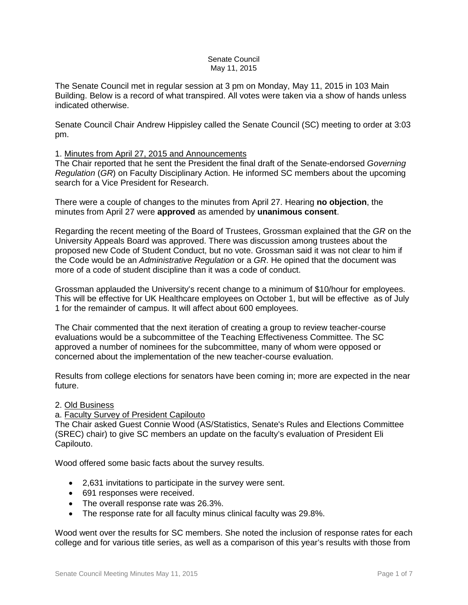#### Senate Council May 11, 2015

The Senate Council met in regular session at 3 pm on Monday, May 11, 2015 in 103 Main Building. Below is a record of what transpired. All votes were taken via a show of hands unless indicated otherwise.

Senate Council Chair Andrew Hippisley called the Senate Council (SC) meeting to order at 3:03 pm.

### 1. Minutes from April 27, 2015 and Announcements

The Chair reported that he sent the President the final draft of the Senate-endorsed *Governing Regulation* (*GR*) on Faculty Disciplinary Action. He informed SC members about the upcoming search for a Vice President for Research.

There were a couple of changes to the minutes from April 27. Hearing **no objection**, the minutes from April 27 were **approved** as amended by **unanimous consent**.

Regarding the recent meeting of the Board of Trustees, Grossman explained that the *GR* on the University Appeals Board was approved. There was discussion among trustees about the proposed new Code of Student Conduct, but no vote. Grossman said it was not clear to him if the Code would be an *Administrative Regulation* or a *GR*. He opined that the document was more of a code of student discipline than it was a code of conduct.

Grossman applauded the University's recent change to a minimum of \$10/hour for employees. This will be effective for UK Healthcare employees on October 1, but will be effective as of July 1 for the remainder of campus. It will affect about 600 employees.

The Chair commented that the next iteration of creating a group to review teacher-course evaluations would be a subcommittee of the Teaching Effectiveness Committee. The SC approved a number of nominees for the subcommittee, many of whom were opposed or concerned about the implementation of the new teacher-course evaluation.

Results from college elections for senators have been coming in; more are expected in the near future.

### 2. Old Business

### a. Faculty Survey of President Capilouto

The Chair asked Guest Connie Wood (AS/Statistics, Senate's Rules and Elections Committee (SREC) chair) to give SC members an update on the faculty's evaluation of President Eli Capilouto.

Wood offered some basic facts about the survey results.

- 2,631 invitations to participate in the survey were sent.
- 691 responses were received.
- The overall response rate was 26.3%.
- The response rate for all faculty minus clinical faculty was 29.8%.

Wood went over the results for SC members. She noted the inclusion of response rates for each college and for various title series, as well as a comparison of this year's results with those from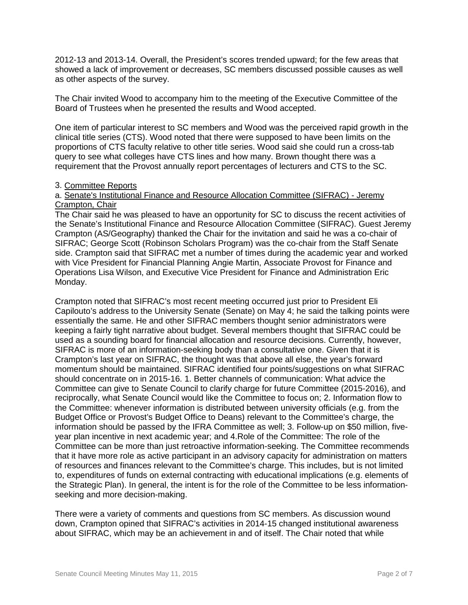2012-13 and 2013-14. Overall, the President's scores trended upward; for the few areas that showed a lack of improvement or decreases, SC members discussed possible causes as well as other aspects of the survey.

The Chair invited Wood to accompany him to the meeting of the Executive Committee of the Board of Trustees when he presented the results and Wood accepted.

One item of particular interest to SC members and Wood was the perceived rapid growth in the clinical title series (CTS). Wood noted that there were supposed to have been limits on the proportions of CTS faculty relative to other title series. Wood said she could run a cross-tab query to see what colleges have CTS lines and how many. Brown thought there was a requirement that the Provost annually report percentages of lecturers and CTS to the SC.

### 3. Committee Reports

### a. Senate's Institutional Finance and Resource Allocation Committee (SIFRAC) - Jeremy Crampton, Chair

The Chair said he was pleased to have an opportunity for SC to discuss the recent activities of the Senate's Institutional Finance and Resource Allocation Committee (SIFRAC). Guest Jeremy Crampton (AS/Geography) thanked the Chair for the invitation and said he was a co-chair of SIFRAC; George Scott (Robinson Scholars Program) was the co-chair from the Staff Senate side. Crampton said that SIFRAC met a number of times during the academic year and worked with Vice President for Financial Planning Angie Martin, Associate Provost for Finance and Operations Lisa Wilson, and Executive Vice President for Finance and Administration Eric Monday.

Crampton noted that SIFRAC's most recent meeting occurred just prior to President Eli Capilouto's address to the University Senate (Senate) on May 4; he said the talking points were essentially the same. He and other SIFRAC members thought senior administrators were keeping a fairly tight narrative about budget. Several members thought that SIFRAC could be used as a sounding board for financial allocation and resource decisions. Currently, however, SIFRAC is more of an information-seeking body than a consultative one. Given that it is Crampton's last year on SIFRAC, the thought was that above all else, the year's forward momentum should be maintained. SIFRAC identified four points/suggestions on what SIFRAC should concentrate on in 2015-16. 1. Better channels of communication: What advice the Committee can give to Senate Council to clarify charge for future Committee (2015-2016), and reciprocally, what Senate Council would like the Committee to focus on; 2. Information flow to the Committee: whenever information is distributed between university officials (e.g. from the Budget Office or Provost's Budget Office to Deans) relevant to the Committee's charge, the information should be passed by the IFRA Committee as well; 3. Follow-up on \$50 million, fiveyear plan incentive in next academic year; and 4.Role of the Committee: The role of the Committee can be more than just retroactive information-seeking. The Committee recommends that it have more role as active participant in an advisory capacity for administration on matters of resources and finances relevant to the Committee's charge. This includes, but is not limited to, expenditures of funds on external contracting with educational implications (e.g. elements of the Strategic Plan). In general, the intent is for the role of the Committee to be less informationseeking and more decision-making.

There were a variety of comments and questions from SC members. As discussion wound down, Crampton opined that SIFRAC's activities in 2014-15 changed institutional awareness about SIFRAC, which may be an achievement in and of itself. The Chair noted that while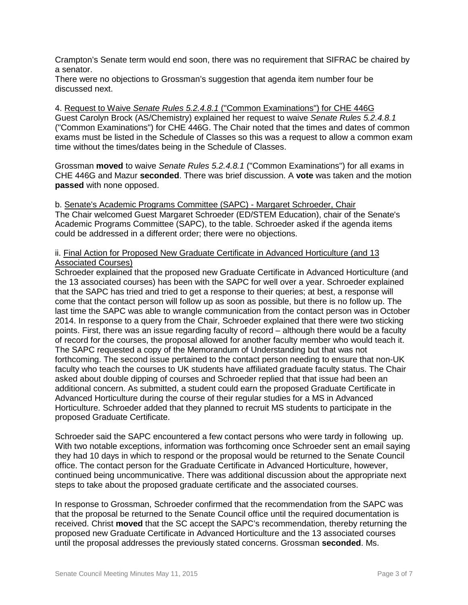Crampton's Senate term would end soon, there was no requirement that SIFRAC be chaired by a senator.

There were no objections to Grossman's suggestion that agenda item number four be discussed next.

4. Request to Waive *Senate Rules 5.2.4.8.1* ("Common Examinations") for CHE 446G Guest Carolyn Brock (AS/Chemistry) explained her request to waive *Senate Rules 5.2.4.8.1* ("Common Examinations") for CHE 446G. The Chair noted that the times and dates of common exams must be listed in the Schedule of Classes so this was a request to allow a common exam time without the times/dates being in the Schedule of Classes.

Grossman **moved** to waive *Senate Rules 5.2.4.8.1* ("Common Examinations") for all exams in CHE 446G and Mazur **seconded**. There was brief discussion. A **vote** was taken and the motion **passed** with none opposed.

b. Senate's Academic Programs Committee (SAPC) - Margaret Schroeder, Chair The Chair welcomed Guest Margaret Schroeder (ED/STEM Education), chair of the Senate's Academic Programs Committee (SAPC), to the table. Schroeder asked if the agenda items could be addressed in a different order; there were no objections.

# ii. Final Action for Proposed New Graduate Certificate in Advanced Horticulture (and 13 Associated Courses)

Schroeder explained that the proposed new Graduate Certificate in Advanced Horticulture (and the 13 associated courses) has been with the SAPC for well over a year. Schroeder explained that the SAPC has tried and tried to get a response to their queries; at best, a response will come that the contact person will follow up as soon as possible, but there is no follow up. The last time the SAPC was able to wrangle communication from the contact person was in October 2014. In response to a query from the Chair, Schroeder explained that there were two sticking points. First, there was an issue regarding faculty of record – although there would be a faculty of record for the courses, the proposal allowed for another faculty member who would teach it. The SAPC requested a copy of the Memorandum of Understanding but that was not forthcoming. The second issue pertained to the contact person needing to ensure that non-UK faculty who teach the courses to UK students have affiliated graduate faculty status. The Chair asked about double dipping of courses and Schroeder replied that that issue had been an additional concern. As submitted, a student could earn the proposed Graduate Certificate in Advanced Horticulture during the course of their regular studies for a MS in Advanced Horticulture. Schroeder added that they planned to recruit MS students to participate in the proposed Graduate Certificate.

Schroeder said the SAPC encountered a few contact persons who were tardy in following up. With two notable exceptions, information was forthcoming once Schroeder sent an email saying they had 10 days in which to respond or the proposal would be returned to the Senate Council office. The contact person for the Graduate Certificate in Advanced Horticulture, however, continued being uncommunicative. There was additional discussion about the appropriate next steps to take about the proposed graduate certificate and the associated courses.

In response to Grossman, Schroeder confirmed that the recommendation from the SAPC was that the proposal be returned to the Senate Council office until the required documentation is received. Christ **moved** that the SC accept the SAPC's recommendation, thereby returning the proposed new Graduate Certificate in Advanced Horticulture and the 13 associated courses until the proposal addresses the previously stated concerns. Grossman **seconded**. Ms.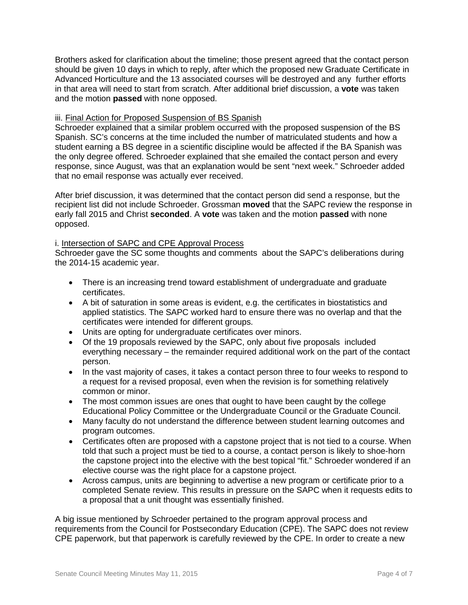Brothers asked for clarification about the timeline; those present agreed that the contact person should be given 10 days in which to reply, after which the proposed new Graduate Certificate in Advanced Horticulture and the 13 associated courses will be destroyed and any further efforts in that area will need to start from scratch. After additional brief discussion, a **vote** was taken and the motion **passed** with none opposed.

### iii. Final Action for Proposed Suspension of BS Spanish

Schroeder explained that a similar problem occurred with the proposed suspension of the BS Spanish. SC's concerns at the time included the number of matriculated students and how a student earning a BS degree in a scientific discipline would be affected if the BA Spanish was the only degree offered. Schroeder explained that she emailed the contact person and every response, since August, was that an explanation would be sent "next week." Schroeder added that no email response was actually ever received.

After brief discussion, it was determined that the contact person did send a response, but the recipient list did not include Schroeder. Grossman **moved** that the SAPC review the response in early fall 2015 and Christ **seconded**. A **vote** was taken and the motion **passed** with none opposed.

### i. Intersection of SAPC and CPE Approval Process

Schroeder gave the SC some thoughts and comments about the SAPC's deliberations during the 2014-15 academic year.

- There is an increasing trend toward establishment of undergraduate and graduate certificates.
- A bit of saturation in some areas is evident, e.g. the certificates in biostatistics and applied statistics. The SAPC worked hard to ensure there was no overlap and that the certificates were intended for different groups.
- Units are opting for undergraduate certificates over minors.
- Of the 19 proposals reviewed by the SAPC, only about five proposals included everything necessary – the remainder required additional work on the part of the contact person.
- In the vast majority of cases, it takes a contact person three to four weeks to respond to a request for a revised proposal, even when the revision is for something relatively common or minor.
- The most common issues are ones that ought to have been caught by the college Educational Policy Committee or the Undergraduate Council or the Graduate Council.
- Many faculty do not understand the difference between student learning outcomes and program outcomes.
- Certificates often are proposed with a capstone project that is not tied to a course. When told that such a project must be tied to a course, a contact person is likely to shoe-horn the capstone project into the elective with the best topical "fit." Schroeder wondered if an elective course was the right place for a capstone project.
- Across campus, units are beginning to advertise a new program or certificate prior to a completed Senate review. This results in pressure on the SAPC when it requests edits to a proposal that a unit thought was essentially finished.

A big issue mentioned by Schroeder pertained to the program approval process and requirements from the Council for Postsecondary Education (CPE). The SAPC does not review CPE paperwork, but that paperwork is carefully reviewed by the CPE. In order to create a new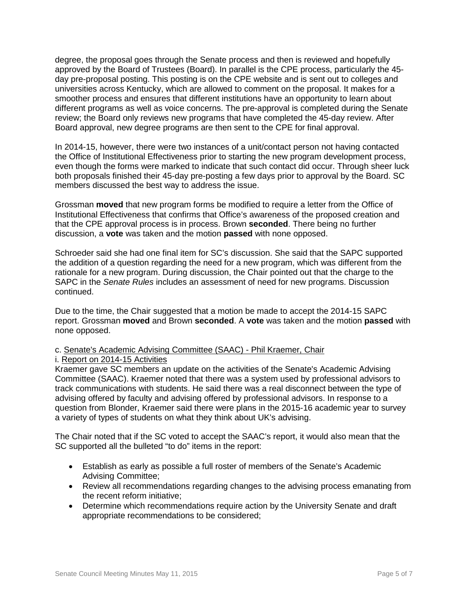degree, the proposal goes through the Senate process and then is reviewed and hopefully approved by the Board of Trustees (Board). In parallel is the CPE process, particularly the 45 day pre-proposal posting. This posting is on the CPE website and is sent out to colleges and universities across Kentucky, which are allowed to comment on the proposal. It makes for a smoother process and ensures that different institutions have an opportunity to learn about different programs as well as voice concerns. The pre-approval is completed during the Senate review; the Board only reviews new programs that have completed the 45-day review. After Board approval, new degree programs are then sent to the CPE for final approval.

In 2014-15, however, there were two instances of a unit/contact person not having contacted the Office of Institutional Effectiveness prior to starting the new program development process, even though the forms were marked to indicate that such contact did occur. Through sheer luck both proposals finished their 45-day pre-posting a few days prior to approval by the Board. SC members discussed the best way to address the issue.

Grossman **moved** that new program forms be modified to require a letter from the Office of Institutional Effectiveness that confirms that Office's awareness of the proposed creation and that the CPE approval process is in process. Brown **seconded**. There being no further discussion, a **vote** was taken and the motion **passed** with none opposed.

Schroeder said she had one final item for SC's discussion. She said that the SAPC supported the addition of a question regarding the need for a new program, which was different from the rationale for a new program. During discussion, the Chair pointed out that the charge to the SAPC in the *Senate Rules* includes an assessment of need for new programs. Discussion continued.

Due to the time, the Chair suggested that a motion be made to accept the 2014-15 SAPC report. Grossman **moved** and Brown **seconded**. A **vote** was taken and the motion **passed** with none opposed.

# c. Senate's Academic Advising Committee (SAAC) - Phil Kraemer, Chair

## i. Report on 2014-15 Activities

Kraemer gave SC members an update on the activities of the Senate's Academic Advising Committee (SAAC). Kraemer noted that there was a system used by professional advisors to track communications with students. He said there was a real disconnect between the type of advising offered by faculty and advising offered by professional advisors. In response to a question from Blonder, Kraemer said there were plans in the 2015-16 academic year to survey a variety of types of students on what they think about UK's advising.

The Chair noted that if the SC voted to accept the SAAC's report, it would also mean that the SC supported all the bulleted "to do" items in the report:

- Establish as early as possible a full roster of members of the Senate's Academic Advising Committee;
- Review all recommendations regarding changes to the advising process emanating from the recent reform initiative;
- Determine which recommendations require action by the University Senate and draft appropriate recommendations to be considered;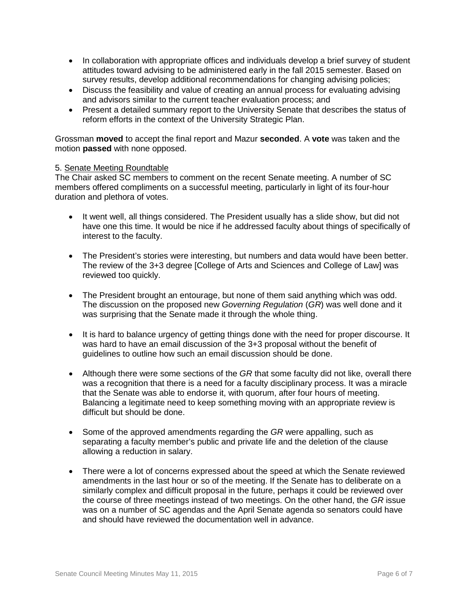- In collaboration with appropriate offices and individuals develop a brief survey of student attitudes toward advising to be administered early in the fall 2015 semester. Based on survey results, develop additional recommendations for changing advising policies;
- Discuss the feasibility and value of creating an annual process for evaluating advising and advisors similar to the current teacher evaluation process; and
- Present a detailed summary report to the University Senate that describes the status of reform efforts in the context of the University Strategic Plan.

Grossman **moved** to accept the final report and Mazur **seconded**. A **vote** was taken and the motion **passed** with none opposed.

### 5. Senate Meeting Roundtable

The Chair asked SC members to comment on the recent Senate meeting. A number of SC members offered compliments on a successful meeting, particularly in light of its four-hour duration and plethora of votes.

- It went well, all things considered. The President usually has a slide show, but did not have one this time. It would be nice if he addressed faculty about things of specifically of interest to the faculty.
- The President's stories were interesting, but numbers and data would have been better. The review of the 3+3 degree [College of Arts and Sciences and College of Law] was reviewed too quickly.
- The President brought an entourage, but none of them said anything which was odd. The discussion on the proposed new *Governing Regulation* (*GR*) was well done and it was surprising that the Senate made it through the whole thing.
- It is hard to balance urgency of getting things done with the need for proper discourse. It was hard to have an email discussion of the 3+3 proposal without the benefit of guidelines to outline how such an email discussion should be done.
- Although there were some sections of the *GR* that some faculty did not like, overall there was a recognition that there is a need for a faculty disciplinary process. It was a miracle that the Senate was able to endorse it, with quorum, after four hours of meeting. Balancing a legitimate need to keep something moving with an appropriate review is difficult but should be done.
- Some of the approved amendments regarding the *GR* were appalling, such as separating a faculty member's public and private life and the deletion of the clause allowing a reduction in salary.
- There were a lot of concerns expressed about the speed at which the Senate reviewed amendments in the last hour or so of the meeting. If the Senate has to deliberate on a similarly complex and difficult proposal in the future, perhaps it could be reviewed over the course of three meetings instead of two meetings. On the other hand, the *GR* issue was on a number of SC agendas and the April Senate agenda so senators could have and should have reviewed the documentation well in advance.